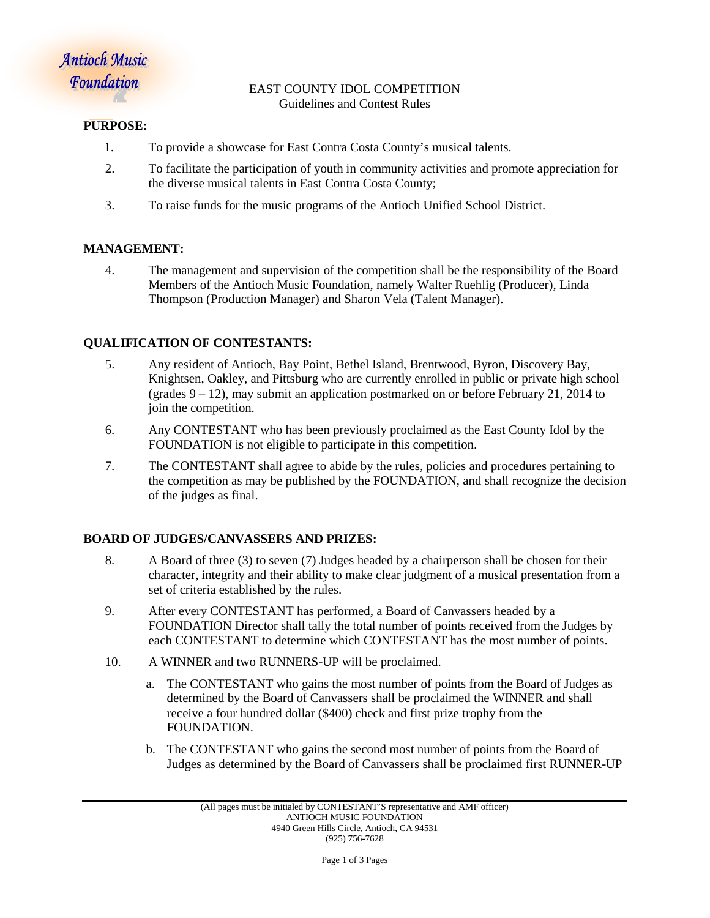#### EAST COUNTY IDOL COMPETITION Guidelines and Contest Rules

#### **PURPOSE:**

- 1. To provide a showcase for East Contra Costa County's musical talents.
- 2. To facilitate the participation of youth in community activities and promote appreciation for the diverse musical talents in East Contra Costa County;
- 3. To raise funds for the music programs of the Antioch Unified School District.

# **MANAGEMENT:**

4. The management and supervision of the competition shall be the responsibility of the Board Members of the Antioch Music Foundation, namely Walter Ruehlig (Producer), Linda Thompson (Production Manager) and Sharon Vela (Talent Manager).

### **QUALIFICATION OF CONTESTANTS:**

- 5. Any resident of Antioch, Bay Point, Bethel Island, Brentwood, Byron, Discovery Bay, Knightsen, Oakley, and Pittsburg who are currently enrolled in public or private high school (grades  $9 - 12$ ), may submit an application postmarked on or before February 21, 2014 to join the competition.
- 6. Any CONTESTANT who has been previously proclaimed as the East County Idol by the FOUNDATION is not eligible to participate in this competition.
- 7. The CONTESTANT shall agree to abide by the rules, policies and procedures pertaining to the competition as may be published by the FOUNDATION, and shall recognize the decision of the judges as final.

### **BOARD OF JUDGES/CANVASSERS AND PRIZES:**

- 8. A Board of three (3) to seven (7) Judges headed by a chairperson shall be chosen for their character, integrity and their ability to make clear judgment of a musical presentation from a set of criteria established by the rules.
- 9. After every CONTESTANT has performed, a Board of Canvassers headed by a FOUNDATION Director shall tally the total number of points received from the Judges by each CONTESTANT to determine which CONTESTANT has the most number of points.
- 10. A WINNER and two RUNNERS-UP will be proclaimed.
	- a. The CONTESTANT who gains the most number of points from the Board of Judges as determined by the Board of Canvassers shall be proclaimed the WINNER and shall receive a four hundred dollar (\$400) check and first prize trophy from the FOUNDATION.
	- b. The CONTESTANT who gains the second most number of points from the Board of Judges as determined by the Board of Canvassers shall be proclaimed first RUNNER-UP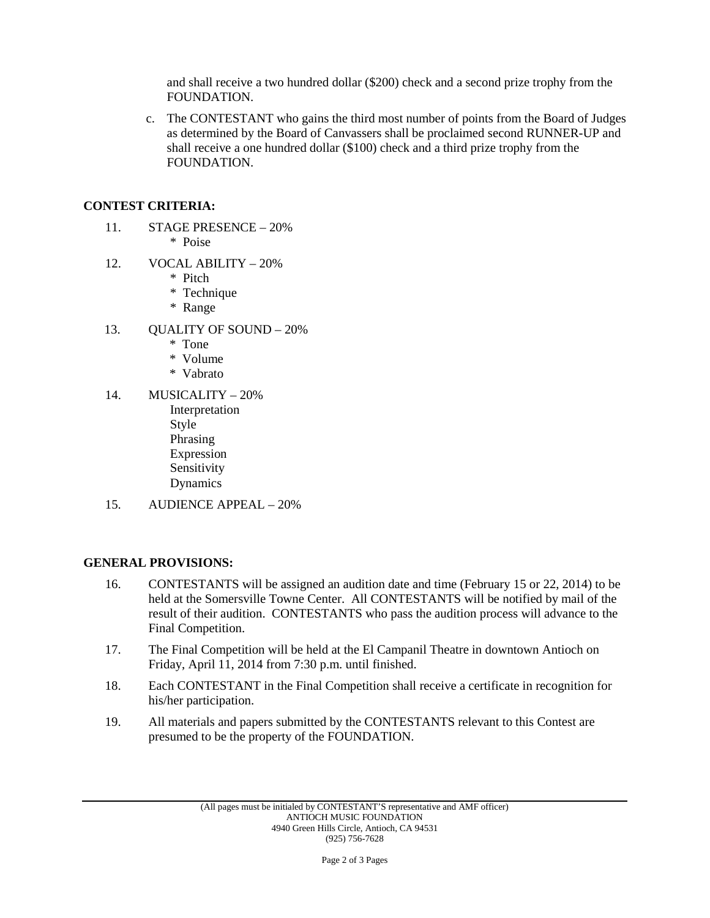and shall receive a two hundred dollar (\$200) check and a second prize trophy from the FOUNDATION.

c. The CONTESTANT who gains the third most number of points from the Board of Judges as determined by the Board of Canvassers shall be proclaimed second RUNNER-UP and shall receive a one hundred dollar (\$100) check and a third prize trophy from the FOUNDATION.

## **CONTEST CRITERIA:**

- 11. STAGE PRESENCE 20% \* Poise
- 12. VOCAL ABILITY 20%
	- \* Pitch
	- \* Technique
	- \* Range
- 13. QUALITY OF SOUND 20%
	- \* Tone
	- \* Volume
	- \* Vabrato
- 14. MUSICALITY 20% Interpretation Style Phrasing Expression Sensitivity Dynamics
- 15. AUDIENCE APPEAL 20%

### **GENERAL PROVISIONS:**

- 16. CONTESTANTS will be assigned an audition date and time (February 15 or 22, 2014) to be held at the Somersville Towne Center. All CONTESTANTS will be notified by mail of the result of their audition. CONTESTANTS who pass the audition process will advance to the Final Competition.
- 17. The Final Competition will be held at the El Campanil Theatre in downtown Antioch on Friday, April 11, 2014 from 7:30 p.m. until finished.
- 18. Each CONTESTANT in the Final Competition shall receive a certificate in recognition for his/her participation.
- 19. All materials and papers submitted by the CONTESTANTS relevant to this Contest are presumed to be the property of the FOUNDATION.